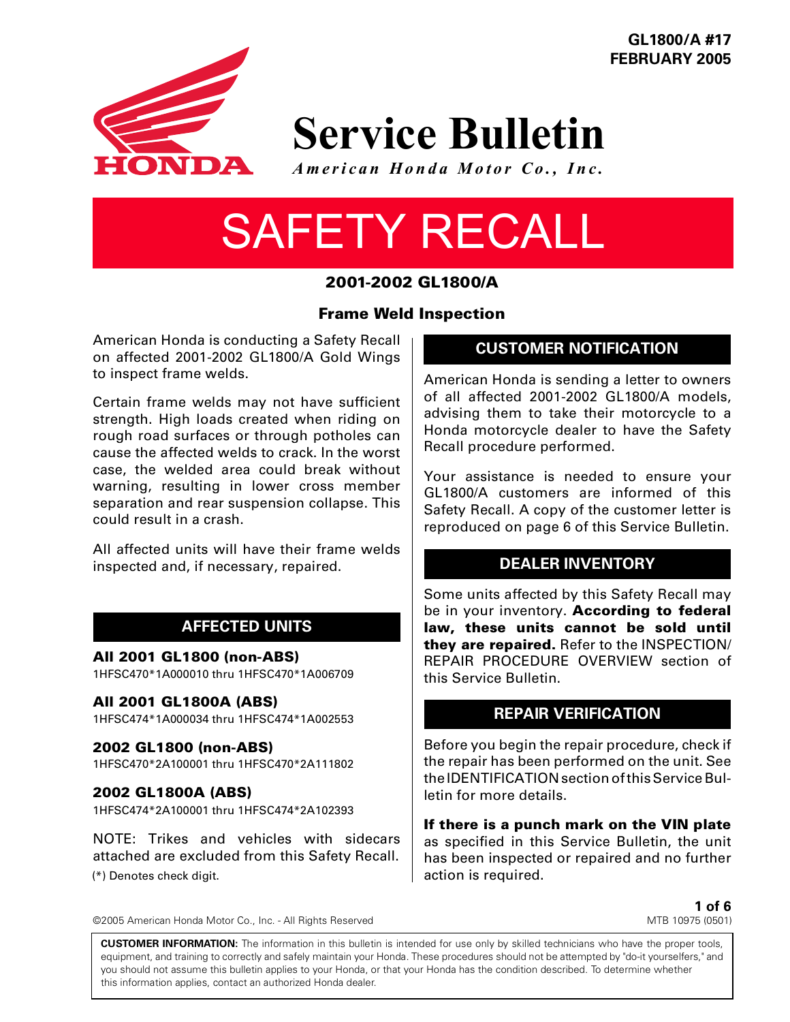

**GL1800/A #17 FEBRUARY 2005**

## **Service Bulletin**

*American Honda Motor Co., Inc.*

# SAFETY RECALL

## **2001-2002 GL1800/A**

#### **Frame Weld Inspection**

American Honda is conducting a Safety Recall on affected 2001-2002 GL1800/A Gold Wings to inspect frame welds.

Certain frame welds may not have sufficient strength. High loads created when riding on rough road surfaces or through potholes can cause the affected welds to crack. In the worst case, the welded area could break without warning, resulting in lower cross member separation and rear suspension collapse. This could result in a crash.

All affected units will have their frame welds inspected and, if necessary, repaired.

## **AFFECTED UNITS**

**All 2001 GL1800 (non-ABS)**

1HFSC470\*1A000010 thru 1HFSC470\*1A006709

**All 2001 GL1800A (ABS)**

1HFSC474\*1A000034 thru 1HFSC474\*1A002553

**2002 GL1800 (non-ABS)**

1HFSC470\*2A100001 thru 1HFSC470\*2A111802

#### **2002 GL1800A (ABS)**

1HFSC474\*2A100001 thru 1HFSC474\*2A102393

NOTE: Trikes and vehicles with sidecars attached are excluded from this Safety Recall. (\*) Denotes check digit.

**CUSTOMER NOTIFICATION**

American Honda is sending a letter to owners of all affected 2001-2002 GL1800/A models, advising them to take their motorcycle to a Honda motorcycle dealer to have the Safety Recall procedure performed.

Your assistance is needed to ensure your GL1800/A customers are informed of this Safety Recall. A copy of the customer letter is reproduced on page 6 of this Service Bulletin.

## **DEALER INVENTORY**

Some units affected by this Safety Recall may be in your inventory. **According to federal law, these units cannot be sold until they are repaired.** Refer to the INSPECTION/ REPAIR PROCEDURE OVERVIEW section of this Service Bulletin.

## **REPAIR VERIFICATION**

Before you begin the repair procedure, check if the repair has been performed on the unit. See the IDENTIFICATION section of this Service Bulletin for more details.

**If there is a punch mark on the VIN plate** as specified in this Service Bulletin, the unit has been inspected or repaired and no further action is required.

> **1 of 6** MTB 10975 (0501)

**CUSTOMER INFORMATION:** The information in this bulletin is intended for use only by skilled technicians who have the proper tools, equipment, and training to correctly and safely maintain your Honda. These procedures should not be attempted by "do-it yourselfers," and you should not assume this bulletin applies to your Honda, or that your Honda has the condition described. To determine whether this information applies, contact an authorized Honda dealer.

©2005 American Honda Motor Co., Inc. - All Rights Reserved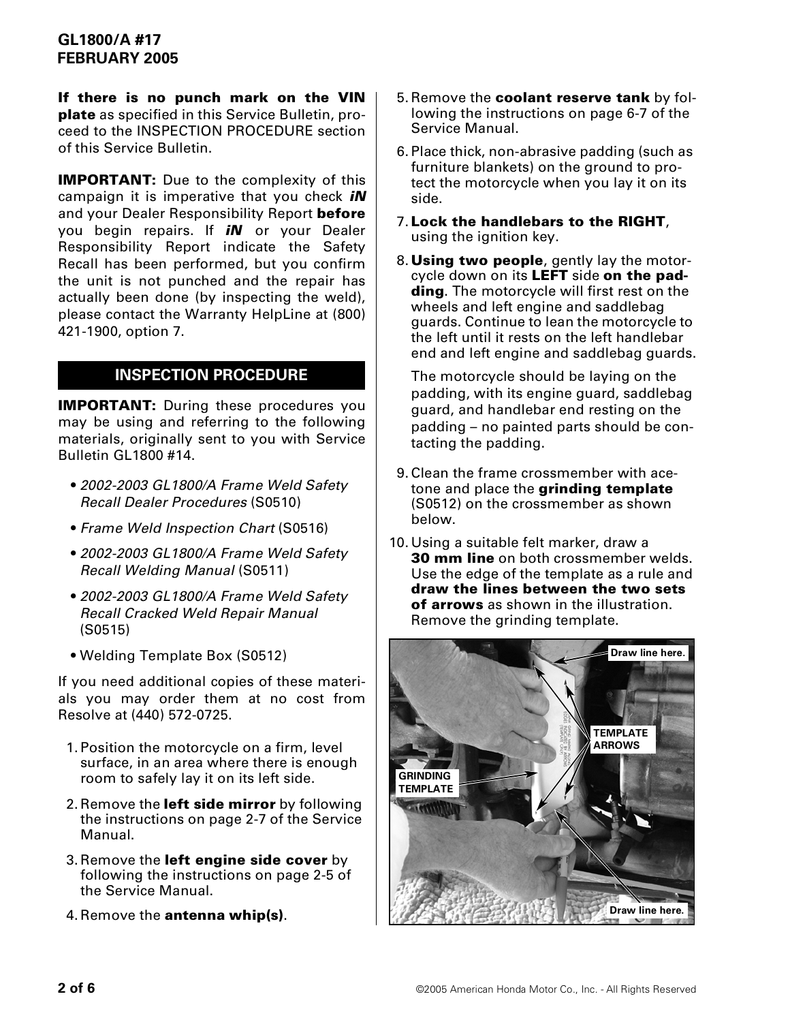**If there is no punch mark on the VIN plate** as specified in this Service Bulletin, proceed to the INSPECTION PROCEDURE section of this Service Bulletin.

**IMPORTANT:** Due to the complexity of this campaign it is imperative that you check *iN* and your Dealer Responsibility Report **before** you begin repairs. If *iN* or your Dealer Responsibility Report indicate the Safety Recall has been performed, but you confirm the unit is not punched and the repair has actually been done (by inspecting the weld), please contact the Warranty HelpLine at (800) 421-1900, option 7.

## **INSPECTION PROCEDURE**

**IMPORTANT:** During these procedures you may be using and referring to the following materials, originally sent to you with Service Bulletin GL1800 #14.

- *2002-2003 GL1800/A Frame Weld Safety Recall Dealer Procedures* (S0510)
- *Frame Weld Inspection Chart* (S0516)
- *2002-2003 GL1800/A Frame Weld Safety Recall Welding Manual* (S0511)
- *2002-2003 GL1800/A Frame Weld Safety Recall Cracked Weld Repair Manual* (S0515)
- Welding Template Box (S0512)

If you need additional copies of these materials you may order them at no cost from Resolve at (440) 572-0725.

- 1.Position the motorcycle on a firm, level surface, in an area where there is enough room to safely lay it on its left side.
- 2.Remove the **left side mirror** by following the instructions on page 2-7 of the Service Manual.
- 3.Remove the **left engine side cover** by following the instructions on page 2-5 of the Service Manual.
- 4.Remove the **antenna whip(s)**.
- 5.Remove the **coolant reserve tank** by following the instructions on page 6-7 of the Service Manual.
- 6.Place thick, non-abrasive padding (such as furniture blankets) on the ground to protect the motorcycle when you lay it on its side.
- 7. **Lock the handlebars to the RIGHT**, using the ignition key.
- 8. **Using two people**, gently lay the motorcycle down on its **LEFT** side **on the padding**. The motorcycle will first rest on the wheels and left engine and saddlebag guards. Continue to lean the motorcycle to the left until it rests on the left handlebar end and left engine and saddlebag guards.

The motorcycle should be laying on the padding, with its engine guard, saddlebag guard, and handlebar end resting on the padding – no painted parts should be contacting the padding.

- 9.Clean the frame crossmember with acetone and place the **grinding template** (S0512) on the crossmember as shown below.
- 10.Using a suitable felt marker, draw a **30 mm line** on both crossmember welds. Use the edge of the template as a rule and **draw the lines between the two sets of arrows** as shown in the illustration. Remove the grinding template.

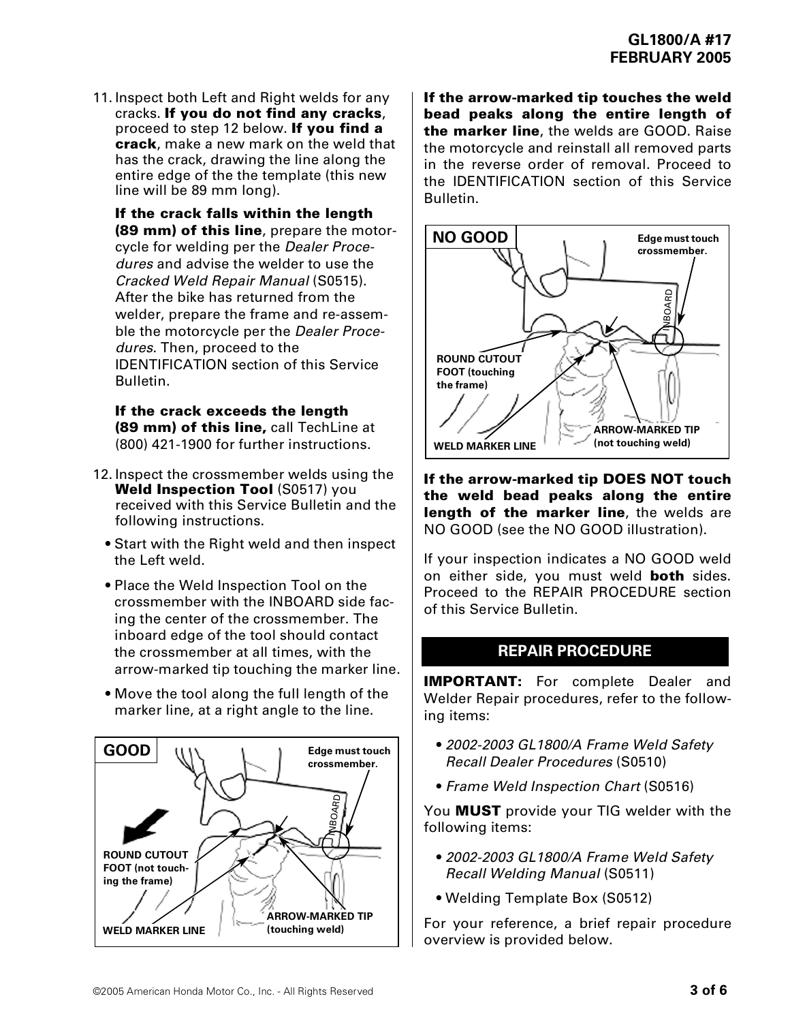11. Inspect both Left and Right welds for any cracks. **If you do not find any cracks**, proceed to step 12 below. **If you find a crack**, make a new mark on the weld that has the crack, drawing the line along the entire edge of the the template (this new line will be 89 mm long).

**If the crack falls within the length (89 mm) of this line**, prepare the motorcycle for welding per the *Dealer Procedures* and advise the welder to use the *Cracked Weld Repair Manual* (S0515). After the bike has returned from the welder, prepare the frame and re-assemble the motorcycle per the *Dealer Procedures*. Then, proceed to the IDENTIFICATION section of this Service Bulletin.

**If the crack exceeds the length (89 mm) of this line,** call TechLine at (800) 421-1900 for further instructions.

- 12.Inspect the crossmember welds using the **Weld Inspection Tool** (S0517) you received with this Service Bulletin and the following instructions.
	- Start with the Right weld and then inspect the Left weld.
	- Place the Weld Inspection Tool on the crossmember with the INBOARD side facing the center of the crossmember. The inboard edge of the tool should contact the crossmember at all times, with the arrow-marked tip touching the marker line.
	- Move the tool along the full length of the marker line, at a right angle to the line.



**If the arrow-marked tip touches the weld bead peaks along the entire length of the marker line**, the welds are GOOD. Raise the motorcycle and reinstall all removed parts in the reverse order of removal. Proceed to the IDENTIFICATION section of this Service Bulletin.



**If the arrow-marked tip DOES NOT touch the weld bead peaks along the entire length of the marker line**, the welds are NO GOOD (see the NO GOOD illustration).

If your inspection indicates a NO GOOD weld on either side, you must weld **both** sides. Proceed to the REPAIR PROCEDURE section of this Service Bulletin.

#### **REPAIR PROCEDURE**

**IMPORTANT:** For complete Dealer and Welder Repair procedures, refer to the following items:

- *2002-2003 GL1800/A Frame Weld Safety Recall Dealer Procedures* (S0510)
- *Frame Weld Inspection Chart* (S0516)

You **MUST** provide your TIG welder with the following items:

- *2002-2003 GL1800/A Frame Weld Safety Recall Welding Manual* (S0511)
- Welding Template Box (S0512)

For your reference, a brief repair procedure overview is provided below.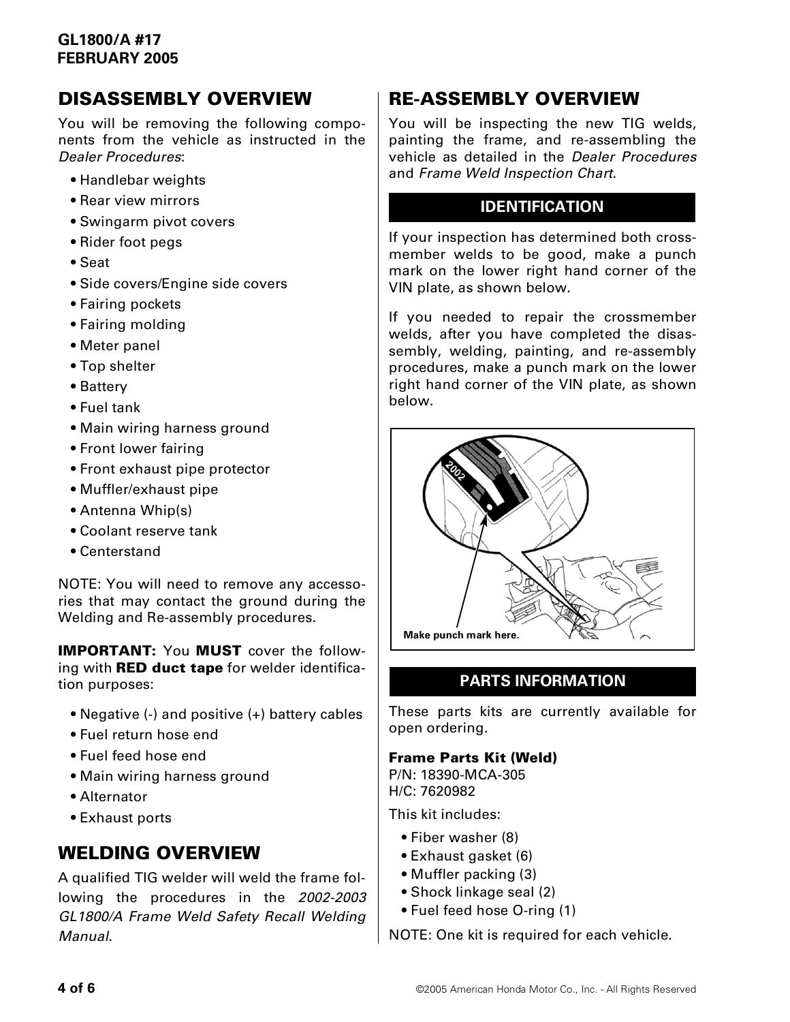## **GL1800/A #17 FEBRUARY 2005**

## **DISASSEMBLY OVERVIEW**

You will be removing the following components from the vehicle as instructed in the *Dealer Procedures*:

- Handlebar weights
- Rear view mirrors
- Swingarm pivot covers
- Rider foot pegs
- Seat
- Side covers/Engine side covers
- Fairing pockets
- Fairing molding
- Meter panel
- Top shelter
- Battery
- Fuel tank
- Main wiring harness ground
- Front lower fairing
- Front exhaust pipe protector
- Muffler/exhaust pipe
- Antenna Whip(s)
- Coolant reserve tank
- Centerstand

NOTE: You will need to remove any accessories that may contact the ground during the Welding and Re-assembly procedures.

**IMPORTANT:** You **MUST** cover the following with **RED duct tape** for welder identification purposes:

- Negative (-) and positive (+) battery cables
- Fuel return hose end
- Fuel feed hose end
- Main wiring harness ground
- Alternator
- Exhaust ports

## **WELDING OVERVIEW**

A qualified TIG welder will weld the frame following the procedures in the *2002-2003 GL1800/A Frame Weld Safety Recall Welding Manual*.

## **RE-ASSEMBLY OVERVIEW**

You will be inspecting the new TIG welds, painting the frame, and re-assembling the vehicle as detailed in the *Dealer Procedures* and *Frame Weld Inspection Chart*.

#### **IDENTIFICATION**

If your inspection has determined both crossmember welds to be good, make a punch mark on the lower right hand corner of the VIN plate, as shown below.

If you needed to repair the crossmember welds, after you have completed the disassembly, welding, painting, and re-assembly procedures, make a punch mark on the lower right hand corner of the VIN plate, as shown below.



## **PARTS INFORMATION**

These parts kits are currently available for open ordering.

#### **Frame Parts Kit (Weld)**

P/N: 18390-MCA-305 H/C: 7620982

This kit includes:

- Fiber washer (8)
- Exhaust gasket (6)
- Muffler packing (3)
- Shock linkage seal (2)
- Fuel feed hose O-ring (1)

NOTE: One kit is required for each vehicle.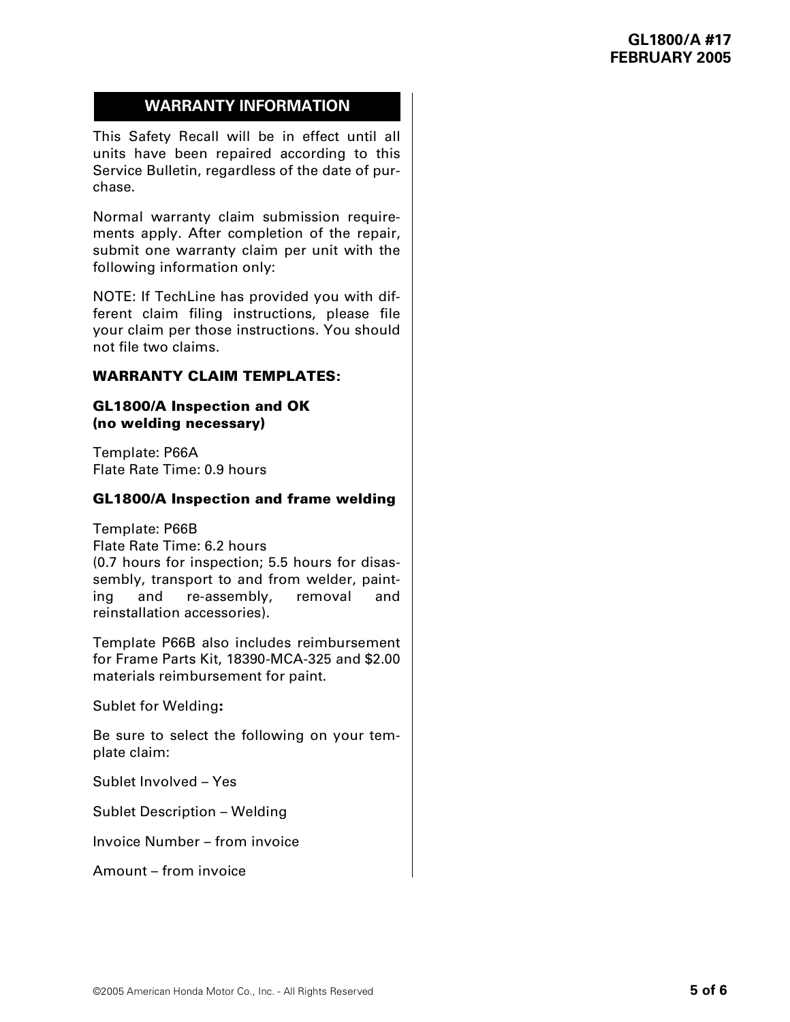## **WARRANTY INFORMATION**

This Safety Recall will be in effect until all units have been repaired according to this Service Bulletin, regardless of the date of purchase.

Normal warranty claim submission requirements apply. After completion of the repair, submit one warranty claim per unit with the following information only:

NOTE: If TechLine has provided you with different claim filing instructions, please file your claim per those instructions. You should not file two claims.

#### **WARRANTY CLAIM TEMPLATES:**

#### **GL1800/A Inspection and OK (no welding necessary)**

Template: P66A Flate Rate Time: 0.9 hours

#### **GL1800/A Inspection and frame welding**

Template: P66B Flate Rate Time: 6.2 hours (0.7 hours for inspection; 5.5 hours for disassembly, transport to and from welder, painting and re-assembly, removal and reinstallation accessories).

Template P66B also includes reimbursement for Frame Parts Kit, 18390-MCA-325 and \$2.00 materials reimbursement for paint.

Sublet for Welding**:**

Be sure to select the following on your template claim:

Sublet Involved – Yes

Sublet Description – Welding

Invoice Number – from invoice

Amount – from invoice